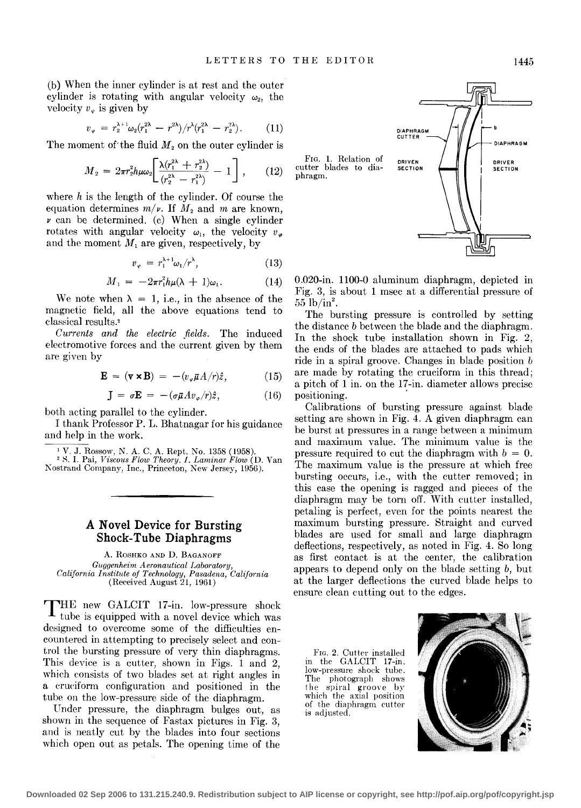(b) When the inner cylinder is at rest and the outer cylinder is rotating with angular velocity  $\omega_2$ , the velocity  $v_{\varphi}$  is given by

$$
v_{\varphi} = r_2^{\lambda+1} \omega_2 (r_1^{2\lambda} - r^{2\lambda}) / r^{\lambda} (r_1^{2\lambda} - r_2^{2\lambda}). \qquad (11)
$$

The moment of the fluid  $M_2$  on the outer cylinder is

$$
M_2 = 2\pi r_2^2 h \mu \omega_2 \left[ \frac{\lambda (r_1^{2\lambda} + r_2^{2\lambda})}{(r_2^{2\lambda} - r_1^{2\lambda})} - 1 \right], \qquad (12)
$$

where *h* is the length of the cylinder. Of course the equation determines  $m/\nu$ . If  $M_2$  and  $m$  are known,  $\nu$  can be determined. (c) When a single cylinder rotates with angular velocity  $\omega_1$ , the velocity  $v_{\varphi}$ and the moment  $M_1$  are given, respectively, by

$$
v_{\varphi} = r_1^{\lambda + 1} \omega_1 / r^{\lambda}, \qquad (13)
$$

$$
M_1 = -2\pi r_1^2 h \mu (\lambda + 1) \omega_1. \tag{14}
$$

We note when  $\lambda = 1$ , i.e., in the absence of the magnetic field, all the above equations tend to classical results.'

*Currents and the electric fields.* The induced electromotive forces and the current given by them are given by

$$
\mathbf{E} = (\mathbf{v} \times \mathbf{B}) = -(v_{\varphi} \bar{\mu} A / r) \hat{z}, \qquad (15)
$$

$$
\mathbf{J} = \sigma \mathbf{E} = -(\sigma \bar{\mu} A v_{\varphi}/r)\hat{z}, \qquad (16)
$$

both acting parallel to the cylinder.

I thank Professor P. L. Bhatnagar for his guidance and help in the work.

1 V. J. Rossow, N. A. C. A. Rept. No. 1358 (1958). 2 H. I. Pai, *Viscous Plow Theory. I. Laminar Plow* (D. Van Kostrand Company, Inc., Princeton, New Jersey, 1956).

## **A Novel Device for Bursting Shock-Tube Diaphragms**

A. RosHKO AND D. BAGANOFF *Guggenheim Aeronautical Laboratory, California Institute of Technology, Pasadena, California*   $(Received August 21, 1961)$ 

**THE** new GALCIT 17 -in. low-pressure shock tube is equipped with a novel device which was designed to overcome some of the difficulties encountered in attempting to precisely select and control the bursting pressure of very thin diaphragms. This device is a cutter, shown in Figs. 1 and 2, which consists of two blades set at right angles in a crueiform configuration and positioned in the tube on the low-pressure side of the diaphragm.

Under pressure, the diaphragm bulges out, as shown in the sequence of Fastax pictures in Fig. 3, and is neatly cut by the blades into four sections which open out as petals. The opening time of the



0.020-in. 1100-0 aluminum diaphragm, depicted in Fig. 3, is about 1 msec at a differential pressure of  $55 \ \mathrm{lb/in^2}.$ 

The bursting pressure is controlled by setting the distance *b* between the blade and the diaphragm. In the shock tube installation shown in Fig. 2, the ends of the blades are attached to pads which ride in a spiral groove. Changes in blade position b are made by rotating the cruciform in this thread; a pitch of 1 in. on the 17-in. diameter allows precise positioning.

Calibrations of bursting pressure against blade setting are shown in Fig. 4. A given diaphragm can be burst at pressures in a range between a minimum and maximum value. The minimum value is the pressure required to cut the diaphragm with  $b = 0$ . The maximum value is the pressure at which free bursting occurs, i.e., with the cutter removed; in this case the opening is ragged and pieces of the diaphragm may be torn off. With cutter installed, petaling is perfect, even for the points nearest the maximum bursting pressure. Straight and curved blades are used for small and large diaphragm deflections, respectively, as noted in Fig. 4. So long as first contact is at the center, the calibration appears to depend only on the blade setting  $b$ , but at the larger deflections the curved blade helps to ensure clean cutting out to the edges.

FIG. 2. Cutter installed in the GALCIT 17-in. low-pressure shock tube. The photograph shows the spiral groove by which the axial position of the diaphragm cutter is adjusted.